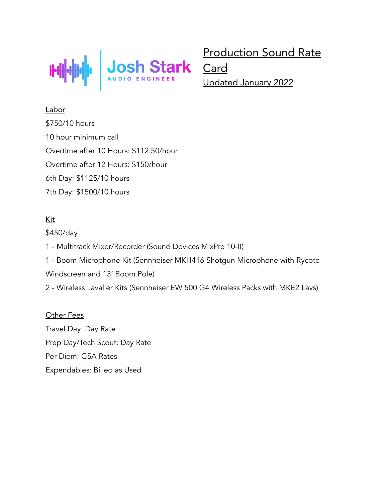

Production Sound Rate

Updated January 2022

**Labor** \$750/10 hours 10 hour minimum call Overtime after 10 Hours: \$112.50/hour Overtime after 12 Hours: \$150/hour 6th Day: \$1125/10 hours 7th Day: \$1500/10 hours

## Kit

\$450/day

- 1 Multitrack Mixer/Recorder (Sound Devices MixPre 10-II)
- 1 Boom Microphone Kit (Sennheiser MKH416 Shotgun Microphone with Rycote
- Windscreen and 13' Boom Pole)
- 2 Wireless Lavalier Kits (Sennheiser EW 500 G4 Wireless Packs with MKE2 Lavs)

## Other Fees

Travel Day: Day Rate Prep Day/Tech Scout: Day Rate Per Diem: GSA Rates Expendables: Billed as Used